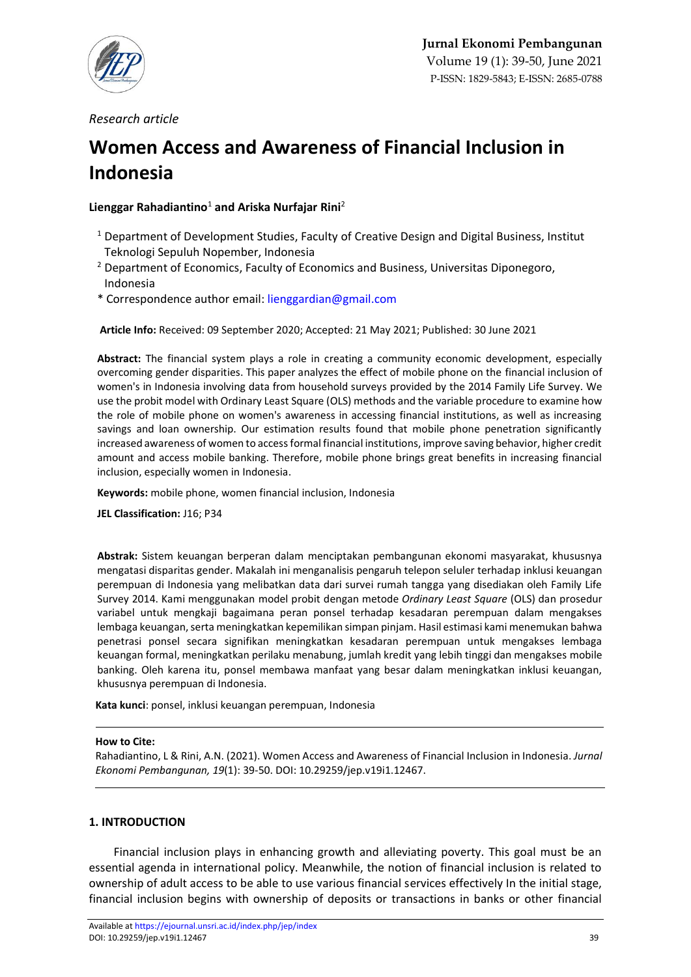

*Research article* 

# **Women Access and Awareness of Financial Inclusion in Indonesia**

# **Lienggar Rahadiantino**<sup>1</sup> **and Ariska Nurfajar Rini**<sup>2</sup>

- $1$  Department of Development Studies, Faculty of Creative Design and Digital Business, Institut Teknologi Sepuluh Nopember, Indonesia
- <sup>2</sup> Department of Economics, Faculty of Economics and Business, Universitas Diponegoro, Indonesia
- \* Correspondence author email[: lienggardian@gmail.com](mailto:lienggardian@gmail.com)

**Article Info:** Received: 09 September 2020; Accepted: 21 May 2021; Published: 30 June 2021

**Abstract:** The financial system plays a role in creating a community economic development, especially overcoming gender disparities. This paper analyzes the effect of mobile phone on the financial inclusion of women's in Indonesia involving data from household surveys provided by the 2014 Family Life Survey. We use the probit model with Ordinary Least Square (OLS) methods and the variable procedure to examine how the role of mobile phone on women's awareness in accessing financial institutions, as well as increasing savings and loan ownership. Our estimation results found that mobile phone penetration significantly increased awareness of women to access formal financial institutions, improve saving behavior, higher credit amount and access mobile banking. Therefore, mobile phone brings great benefits in increasing financial inclusion, especially women in Indonesia.

**Keywords:** mobile phone, women financial inclusion, Indonesia

**JEL Classification:** J16; P34

**Abstrak:** Sistem keuangan berperan dalam menciptakan pembangunan ekonomi masyarakat, khususnya mengatasi disparitas gender. Makalah ini menganalisis pengaruh telepon seluler terhadap inklusi keuangan perempuan di Indonesia yang melibatkan data dari survei rumah tangga yang disediakan oleh Family Life Survey 2014. Kami menggunakan model probit dengan metode *Ordinary Least Square* (OLS) dan prosedur variabel untuk mengkaji bagaimana peran ponsel terhadap kesadaran perempuan dalam mengakses lembaga keuangan, serta meningkatkan kepemilikan simpan pinjam. Hasil estimasi kami menemukan bahwa penetrasi ponsel secara signifikan meningkatkan kesadaran perempuan untuk mengakses lembaga keuangan formal, meningkatkan perilaku menabung, jumlah kredit yang lebih tinggi dan mengakses mobile banking. Oleh karena itu, ponsel membawa manfaat yang besar dalam meningkatkan inklusi keuangan, khususnya perempuan di Indonesia.

**Kata kunci**: ponsel, inklusi keuangan perempuan, Indonesia

## **How to Cite:**

Rahadiantino, L & Rini, A.N. (2021). Women Access and Awareness of Financial Inclusion in Indonesia. *Jurnal Ekonomi Pembangunan, 19*(1): 39-50. DOI: [10.29259/jep.v19i1.12467.](https://doi.org/10.29259/jep.v19i1.12467)

# **1. INTRODUCTION**

Financial inclusion plays in enhancing growth and alleviating poverty. This goal must be an essential agenda in international policy. Meanwhile, the notion of financial inclusion is related to ownership of adult access to be able to use various financial services effectively In the initial stage, financial inclusion begins with ownership of deposits or transactions in banks or other financial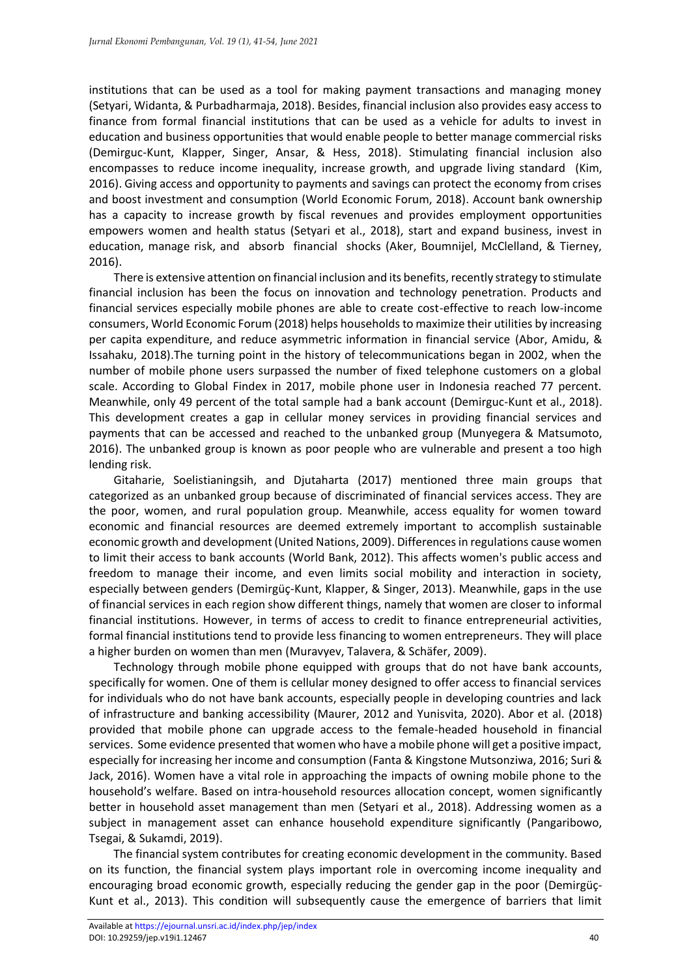institutions that can be used as a tool for making payment transactions and managing money (Setyari, Widanta, & Purbadharmaja, 2018). Besides, financial inclusion also provides easy access to finance from formal financial institutions that can be used as a vehicle for adults to invest in education and business opportunities that would enable people to better manage commercial risks (Demirguc-Kunt, Klapper, Singer, Ansar, & Hess, 2018). Stimulating financial inclusion also encompasses to reduce income inequality, increase growth, and upgrade living standard (Kim, 2016). Giving access and opportunity to payments and savings can protect the economy from crises and boost investment and consumption (World Economic Forum, 2018). Account bank ownership has a capacity to increase growth by fiscal revenues and provides employment opportunities empowers women and health status (Setyari et al., 2018), start and expand business, invest in education, manage risk, and absorb financial shocks (Aker, Boumnijel, McClelland, & Tierney, 2016).

There is extensive attention on financial inclusion and its benefits, recently strategy to stimulate financial inclusion has been the focus on innovation and technology penetration. Products and financial services especially mobile phones are able to create cost-effective to reach low-income consumers, World Economic Forum (2018) helps households to maximize their utilities by increasing per capita expenditure, and reduce asymmetric information in financial service (Abor, Amidu, & Issahaku, 2018).The turning point in the history of telecommunications began in 2002, when the number of mobile phone users surpassed the number of fixed telephone customers on a global scale. According to Global Findex in 2017, mobile phone user in Indonesia reached 77 percent. Meanwhile, only 49 percent of the total sample had a bank account (Demirguc-Kunt et al., 2018). This development creates a gap in cellular money services in providing financial services and payments that can be accessed and reached to the unbanked group (Munyegera & Matsumoto, 2016). The unbanked group is known as poor people who are vulnerable and present a too high lending risk.

Gitaharie, Soelistianingsih, and Djutaharta (2017) mentioned three main groups that categorized as an unbanked group because of discriminated of financial services access. They are the poor, women, and rural population group. Meanwhile, access equality for women toward economic and financial resources are deemed extremely important to accomplish sustainable economic growth and development (United Nations, 2009). Differences in regulations cause women to limit their access to bank accounts (World Bank, 2012). This affects women's public access and freedom to manage their income, and even limits social mobility and interaction in society, especially between genders (Demirgüç-Kunt, Klapper, & Singer, 2013). Meanwhile, gaps in the use of financial services in each region show different things, namely that women are closer to informal financial institutions. However, in terms of access to credit to finance entrepreneurial activities, formal financial institutions tend to provide less financing to women entrepreneurs. They will place a higher burden on women than men (Muravyev, Talavera, & Schäfer, 2009).

Technology through mobile phone equipped with groups that do not have bank accounts, specifically for women. One of them is cellular money designed to offer access to financial services for individuals who do not have bank accounts, especially people in developing countries and lack of infrastructure and banking accessibility (Maurer, 2012 and Yunisvita, 2020). Abor et al. (2018) provided that mobile phone can upgrade access to the female-headed household in financial services. Some evidence presented that women who have a mobile phone will get a positive impact, especially for increasing her income and consumption (Fanta & Kingstone Mutsonziwa, 2016; Suri & Jack, 2016). Women have a vital role in approaching the impacts of owning mobile phone to the household's welfare. Based on intra-household resources allocation concept, women significantly better in household asset management than men (Setyari et al., 2018). Addressing women as a subject in management asset can enhance household expenditure significantly (Pangaribowo, Tsegai, & Sukamdi, 2019).

The financial system contributes for creating economic development in the community. Based on its function, the financial system plays important role in overcoming income inequality and encouraging broad economic growth, especially reducing the gender gap in the poor (Demirgüç-Kunt et al., 2013). This condition will subsequently cause the emergence of barriers that limit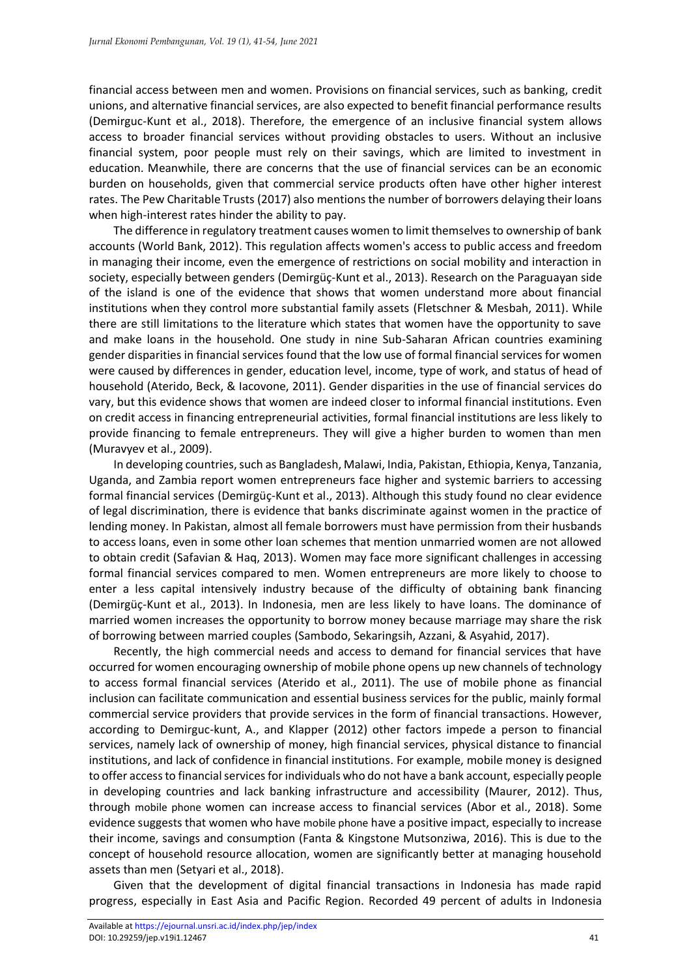financial access between men and women. Provisions on financial services, such as banking, credit unions, and alternative financial services, are also expected to benefit financial performance results (Demirguc-Kunt et al., 2018). Therefore, the emergence of an inclusive financial system allows access to broader financial services without providing obstacles to users. Without an inclusive financial system, poor people must rely on their savings, which are limited to investment in education. Meanwhile, there are concerns that the use of financial services can be an economic burden on households, given that commercial service products often have other higher interest rates. The Pew Charitable Trusts (2017) also mentions the number of borrowers delaying their loans when high-interest rates hinder the ability to pay.

The difference in regulatory treatment causes women to limit themselves to ownership of bank accounts (World Bank, 2012). This regulation affects women's access to public access and freedom in managing their income, even the emergence of restrictions on social mobility and interaction in society, especially between genders (Demirgüç-Kunt et al., 2013). Research on the Paraguayan side of the island is one of the evidence that shows that women understand more about financial institutions when they control more substantial family assets (Fletschner & Mesbah, 2011). While there are still limitations to the literature which states that women have the opportunity to save and make loans in the household. One study in nine Sub-Saharan African countries examining gender disparities in financial services found that the low use of formal financial services for women were caused by differences in gender, education level, income, type of work, and status of head of household (Aterido, Beck, & Iacovone, 2011). Gender disparities in the use of financial services do vary, but this evidence shows that women are indeed closer to informal financial institutions. Even on credit access in financing entrepreneurial activities, formal financial institutions are less likely to provide financing to female entrepreneurs. They will give a higher burden to women than men (Muravyev et al., 2009).

In developing countries, such as Bangladesh, Malawi, India, Pakistan, Ethiopia, Kenya, Tanzania, Uganda, and Zambia report women entrepreneurs face higher and systemic barriers to accessing formal financial services (Demirgüç-Kunt et al., 2013). Although this study found no clear evidence of legal discrimination, there is evidence that banks discriminate against women in the practice of lending money. In Pakistan, almost all female borrowers must have permission from their husbands to access loans, even in some other loan schemes that mention unmarried women are not allowed to obtain credit (Safavian & Haq, 2013). Women may face more significant challenges in accessing formal financial services compared to men. Women entrepreneurs are more likely to choose to enter a less capital intensively industry because of the difficulty of obtaining bank financing (Demirgüç-Kunt et al., 2013). In Indonesia, men are less likely to have loans. The dominance of married women increases the opportunity to borrow money because marriage may share the risk of borrowing between married couples (Sambodo, Sekaringsih, Azzani, & Asyahid, 2017).

Recently, the high commercial needs and access to demand for financial services that have occurred for women encouraging ownership of mobile phone opens up new channels of technology to access formal financial services (Aterido et al., 2011). The use of mobile phone as financial inclusion can facilitate communication and essential business services for the public, mainly formal commercial service providers that provide services in the form of financial transactions. However, according to Demirguc-kunt, A., and Klapper (2012) other factors impede a person to financial services, namely lack of ownership of money, high financial services, physical distance to financial institutions, and lack of confidence in financial institutions. For example, mobile money is designed to offer access to financial services for individuals who do not have a bank account, especially people in developing countries and lack banking infrastructure and accessibility (Maurer, 2012). Thus, through mobile phone women can increase access to financial services (Abor et al., 2018). Some evidence suggests that women who have mobile phone have a positive impact, especially to increase their income, savings and consumption (Fanta & Kingstone Mutsonziwa, 2016). This is due to the concept of household resource allocation, women are significantly better at managing household assets than men (Setyari et al., 2018).

Given that the development of digital financial transactions in Indonesia has made rapid progress, especially in East Asia and Pacific Region. Recorded 49 percent of adults in Indonesia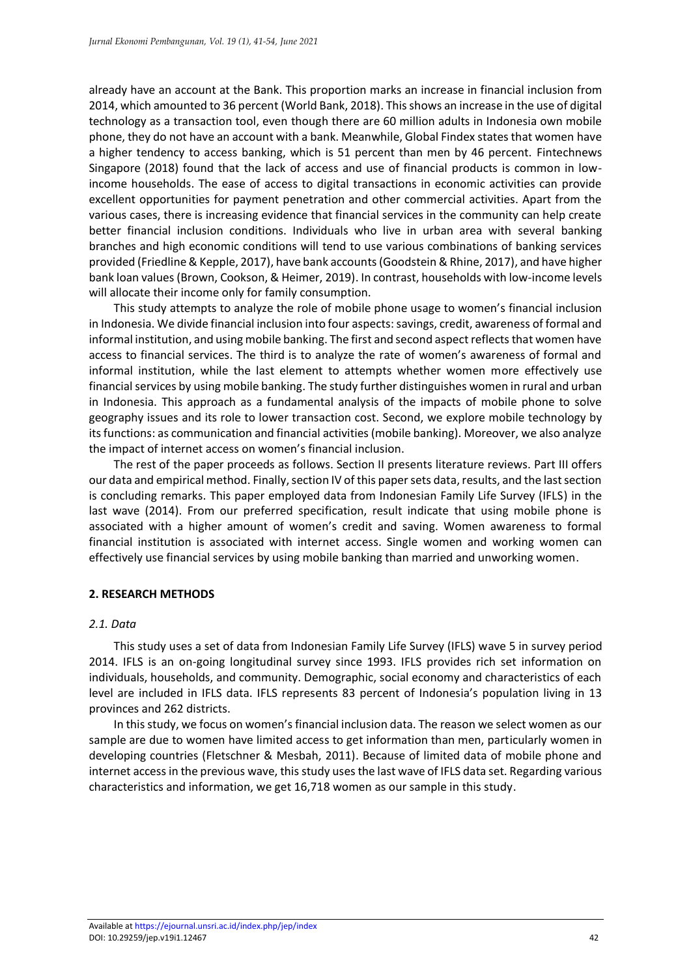already have an account at the Bank. This proportion marks an increase in financial inclusion from 2014, which amounted to 36 percent (World Bank, 2018). This shows an increase in the use of digital technology as a transaction tool, even though there are 60 million adults in Indonesia own mobile phone, they do not have an account with a bank. Meanwhile, Global Findex states that women have a higher tendency to access banking, which is 51 percent than men by 46 percent. Fintechnews Singapore (2018) found that the lack of access and use of financial products is common in lowincome households. The ease of access to digital transactions in economic activities can provide excellent opportunities for payment penetration and other commercial activities. Apart from the various cases, there is increasing evidence that financial services in the community can help create better financial inclusion conditions. Individuals who live in urban area with several banking branches and high economic conditions will tend to use various combinations of banking services provided (Friedline & Kepple, 2017), have bank accounts (Goodstein & Rhine, 2017), and have higher bank loan values (Brown, Cookson, & Heimer, 2019). In contrast, households with low-income levels will allocate their income only for family consumption.

This study attempts to analyze the role of mobile phone usage to women's financial inclusion in Indonesia. We divide financial inclusion into four aspects: savings, credit, awareness of formal and informal institution, and using mobile banking. The first and second aspect reflects that women have access to financial services. The third is to analyze the rate of women's awareness of formal and informal institution, while the last element to attempts whether women more effectively use financial services by using mobile banking. The study further distinguishes women in rural and urban in Indonesia. This approach as a fundamental analysis of the impacts of mobile phone to solve geography issues and its role to lower transaction cost. Second, we explore mobile technology by its functions: as communication and financial activities (mobile banking). Moreover, we also analyze the impact of internet access on women's financial inclusion.

The rest of the paper proceeds as follows. Section II presents literature reviews. Part III offers our data and empirical method. Finally, section IV of this paper sets data, results, and the last section is concluding remarks. This paper employed data from Indonesian Family Life Survey (IFLS) in the last wave (2014). From our preferred specification, result indicate that using mobile phone is associated with a higher amount of women's credit and saving. Women awareness to formal financial institution is associated with internet access. Single women and working women can effectively use financial services by using mobile banking than married and unworking women.

# **2. RESEARCH METHODS**

## *2.1. Data*

This study uses a set of data from Indonesian Family Life Survey (IFLS) wave 5 in survey period 2014. IFLS is an on-going longitudinal survey since 1993. IFLS provides rich set information on individuals, households, and community. Demographic, social economy and characteristics of each level are included in IFLS data. IFLS represents 83 percent of Indonesia's population living in 13 provinces and 262 districts.

In this study, we focus on women's financial inclusion data. The reason we select women as our sample are due to women have limited access to get information than men, particularly women in developing countries (Fletschner & Mesbah, 2011). Because of limited data of mobile phone and internet access in the previous wave, this study uses the last wave of IFLS data set. Regarding various characteristics and information, we get 16,718 women as our sample in this study.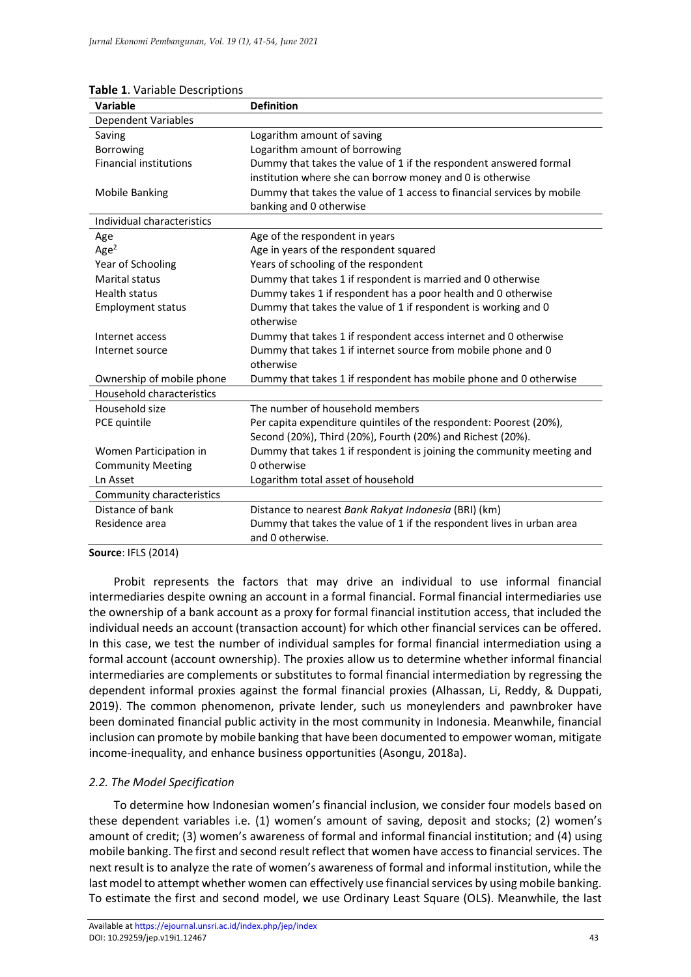| <b>I ANIC 1.</b> VALIANIC DESCRIPTIONS<br>Variable | <b>Definition</b>                                                      |
|----------------------------------------------------|------------------------------------------------------------------------|
| <b>Dependent Variables</b>                         |                                                                        |
| Saving                                             | Logarithm amount of saving                                             |
| <b>Borrowing</b>                                   | Logarithm amount of borrowing                                          |
| <b>Financial institutions</b>                      | Dummy that takes the value of 1 if the respondent answered formal      |
|                                                    | institution where she can borrow money and 0 is otherwise              |
| <b>Mobile Banking</b>                              | Dummy that takes the value of 1 access to financial services by mobile |
|                                                    | banking and 0 otherwise                                                |
| Individual characteristics                         |                                                                        |
| Age                                                | Age of the respondent in years                                         |
| Age <sup>2</sup>                                   | Age in years of the respondent squared                                 |
| Year of Schooling                                  | Years of schooling of the respondent                                   |
| Marital status                                     | Dummy that takes 1 if respondent is married and 0 otherwise            |
| <b>Health status</b>                               | Dummy takes 1 if respondent has a poor health and 0 otherwise          |
| <b>Employment status</b>                           | Dummy that takes the value of 1 if respondent is working and 0         |
|                                                    | otherwise                                                              |
| Internet access                                    | Dummy that takes 1 if respondent access internet and 0 otherwise       |
| Internet source                                    | Dummy that takes 1 if internet source from mobile phone and 0          |
|                                                    | otherwise                                                              |
| Ownership of mobile phone                          | Dummy that takes 1 if respondent has mobile phone and 0 otherwise      |
| Household characteristics                          |                                                                        |
| Household size                                     | The number of household members                                        |
| PCE quintile                                       | Per capita expenditure quintiles of the respondent: Poorest (20%),     |
|                                                    | Second (20%), Third (20%), Fourth (20%) and Richest (20%).             |
| Women Participation in                             | Dummy that takes 1 if respondent is joining the community meeting and  |
| <b>Community Meeting</b>                           | 0 otherwise                                                            |
| Ln Asset                                           | Logarithm total asset of household                                     |
| Community characteristics                          |                                                                        |
| Distance of bank                                   | Distance to nearest Bank Rakyat Indonesia (BRI) (km)                   |
| Residence area                                     | Dummy that takes the value of 1 if the respondent lives in urban area  |
|                                                    | and 0 otherwise.                                                       |

## **Table 1**. Variable Descriptions

**Source**: IFLS (2014)

Probit represents the factors that may drive an individual to use informal financial intermediaries despite owning an account in a formal financial. Formal financial intermediaries use the ownership of a bank account as a proxy for formal financial institution access, that included the individual needs an account (transaction account) for which other financial services can be offered. In this case, we test the number of individual samples for formal financial intermediation using a formal account (account ownership). The proxies allow us to determine whether informal financial intermediaries are complements or substitutes to formal financial intermediation by regressing the dependent informal proxies against the formal financial proxies (Alhassan, Li, Reddy, & Duppati, 2019). The common phenomenon, private lender, such us moneylenders and pawnbroker have been dominated financial public activity in the most community in Indonesia. Meanwhile, financial inclusion can promote by mobile banking that have been documented to empower woman, mitigate income-inequality, and enhance business opportunities (Asongu, 2018a).

# *2.2. The Model Specification*

To determine how Indonesian women's financial inclusion, we consider four models based on these dependent variables i.e. (1) women's amount of saving, deposit and stocks; (2) women's amount of credit; (3) women's awareness of formal and informal financial institution; and (4) using mobile banking. The first and second result reflect that women have access to financial services. The next result is to analyze the rate of women's awareness of formal and informal institution, while the last model to attempt whether women can effectively use financial services by using mobile banking. To estimate the first and second model, we use Ordinary Least Square (OLS). Meanwhile, the last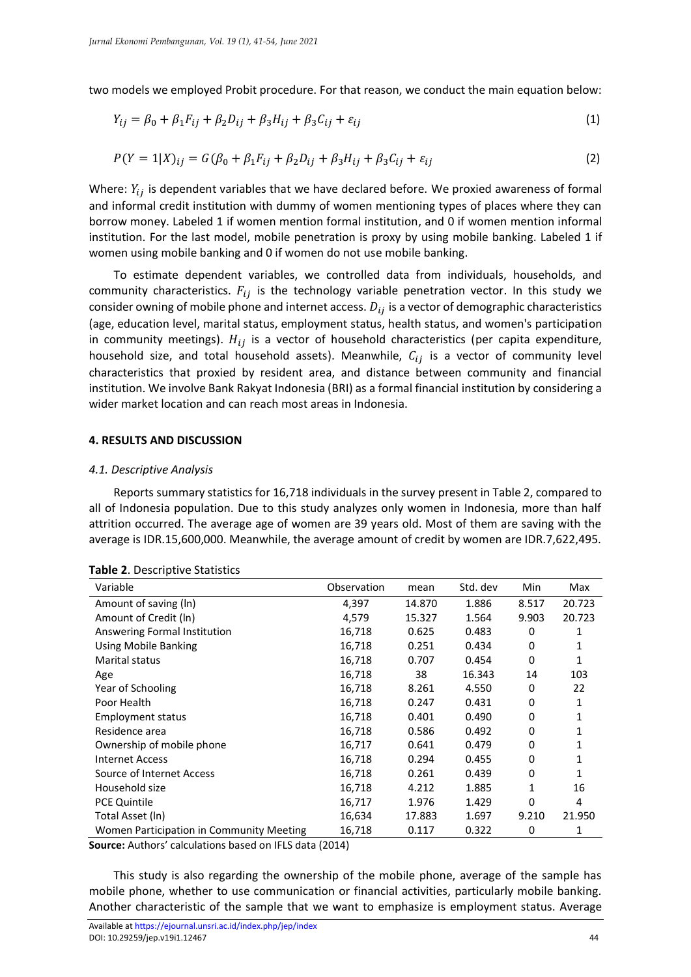two models we employed Probit procedure. For that reason, we conduct the main equation below:

$$
Y_{ij} = \beta_0 + \beta_1 F_{ij} + \beta_2 D_{ij} + \beta_3 H_{ij} + \beta_3 C_{ij} + \varepsilon_{ij}
$$
 (1)

$$
P(Y = 1|X)_{ij} = G(\beta_0 + \beta_1 F_{ij} + \beta_2 D_{ij} + \beta_3 H_{ij} + \beta_3 C_{ij} + \varepsilon_{ij}
$$
\n(2)

Where:  $Y_{ii}$  is dependent variables that we have declared before. We proxied awareness of formal and informal credit institution with dummy of women mentioning types of places where they can borrow money. Labeled 1 if women mention formal institution, and 0 if women mention informal institution. For the last model, mobile penetration is proxy by using mobile banking. Labeled 1 if women using mobile banking and 0 if women do not use mobile banking.

To estimate dependent variables, we controlled data from individuals, households, and community characteristics.  $F_{ij}$  is the technology variable penetration vector. In this study we consider owning of mobile phone and internet access.  $D_{ij}$  is a vector of demographic characteristics (age, education level, marital status, employment status, health status, and women's participation in community meetings).  $H_{ij}$  is a vector of household characteristics (per capita expenditure, household size, and total household assets). Meanwhile,  $C_{ij}$  is a vector of community level characteristics that proxied by resident area, and distance between community and financial institution. We involve Bank Rakyat Indonesia (BRI) as a formal financial institution by considering a wider market location and can reach most areas in Indonesia.

#### **4. RESULTS AND DISCUSSION**

#### *4.1. Descriptive Analysis*

Reports summary statistics for 16,718 individuals in the survey present in Table 2, compared to all of Indonesia population. Due to this study analyzes only women in Indonesia, more than half attrition occurred. The average age of women are 39 years old. Most of them are saving with the average is IDR.15,600,000. Meanwhile, the average amount of credit by women are IDR.7,622,495.

| Variable                                 | Observation | mean   | Std. dev | Min   | Max    |
|------------------------------------------|-------------|--------|----------|-------|--------|
|                                          |             |        |          |       |        |
| Amount of saving (ln)                    | 4,397       | 14.870 | 1.886    | 8.517 | 20.723 |
| Amount of Credit (In)                    | 4,579       | 15.327 | 1.564    | 9.903 | 20.723 |
| Answering Formal Institution             | 16,718      | 0.625  | 0.483    | 0     | 1      |
| <b>Using Mobile Banking</b>              | 16,718      | 0.251  | 0.434    | 0     |        |
| Marital status                           | 16,718      | 0.707  | 0.454    | 0     | 1      |
| Age                                      | 16,718      | 38     | 16.343   | 14    | 103    |
| Year of Schooling                        | 16,718      | 8.261  | 4.550    | 0     | 22     |
| Poor Health                              | 16,718      | 0.247  | 0.431    | 0     | 1      |
| <b>Employment status</b>                 | 16,718      | 0.401  | 0.490    | 0     |        |
| Residence area                           | 16,718      | 0.586  | 0.492    | 0     |        |
| Ownership of mobile phone                | 16,717      | 0.641  | 0.479    | 0     |        |
| <b>Internet Access</b>                   | 16,718      | 0.294  | 0.455    | 0     | 1      |
| Source of Internet Access                | 16,718      | 0.261  | 0.439    | 0     | 1      |
| Household size                           | 16,718      | 4.212  | 1.885    | 1     | 16     |
| <b>PCE Quintile</b>                      | 16,717      | 1.976  | 1.429    | 0     | 4      |
| Total Asset (ln)                         | 16,634      | 17.883 | 1.697    | 9.210 | 21.950 |
| Women Participation in Community Meeting | 16,718      | 0.117  | 0.322    | 0     | 1      |

**Table 2**. Descriptive Statistics

**Source:** Authors' calculations based on IFLS data (2014)

This study is also regarding the ownership of the mobile phone, average of the sample has mobile phone, whether to use communication or financial activities, particularly mobile banking. Another characteristic of the sample that we want to emphasize is employment status. Average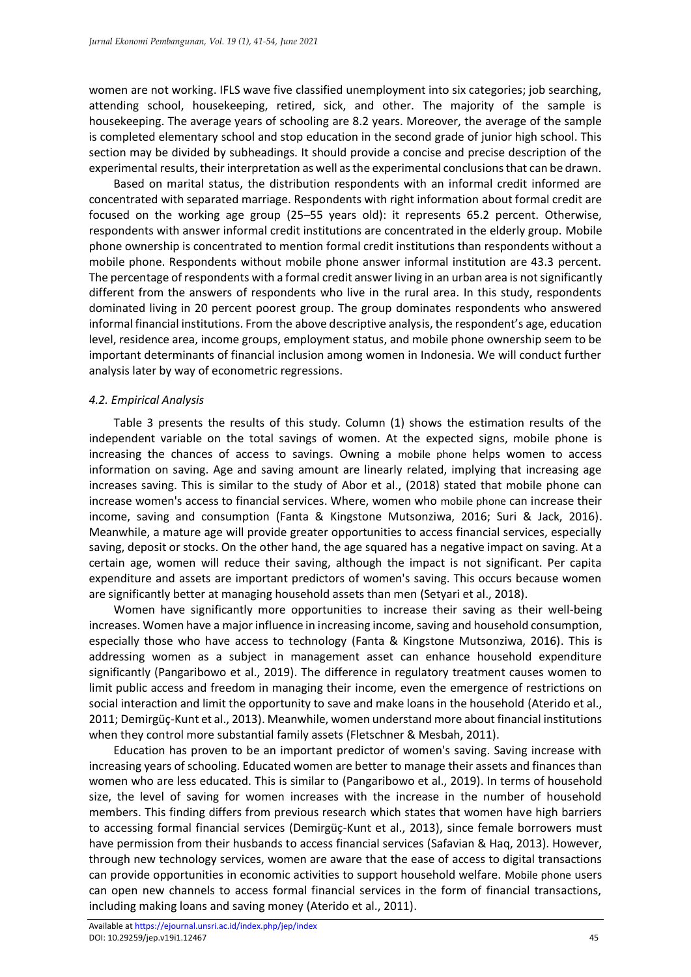women are not working. IFLS wave five classified unemployment into six categories; job searching, attending school, housekeeping, retired, sick, and other. The majority of the sample is housekeeping. The average years of schooling are 8.2 years. Moreover, the average of the sample is completed elementary school and stop education in the second grade of junior high school. This section may be divided by subheadings. It should provide a concise and precise description of the experimental results, their interpretation as well as the experimental conclusions that can be drawn.

Based on marital status, the distribution respondents with an informal credit informed are concentrated with separated marriage. Respondents with right information about formal credit are focused on the working age group (25–55 years old): it represents 65.2 percent. Otherwise, respondents with answer informal credit institutions are concentrated in the elderly group. Mobile phone ownership is concentrated to mention formal credit institutions than respondents without a mobile phone. Respondents without mobile phone answer informal institution are 43.3 percent. The percentage of respondents with a formal credit answer living in an urban area is not significantly different from the answers of respondents who live in the rural area. In this study, respondents dominated living in 20 percent poorest group. The group dominates respondents who answered informal financial institutions. From the above descriptive analysis, the respondent's age, education level, residence area, income groups, employment status, and mobile phone ownership seem to be important determinants of financial inclusion among women in Indonesia. We will conduct further analysis later by way of econometric regressions.

# *4.2. Empirical Analysis*

Table 3 presents the results of this study. Column (1) shows the estimation results of the independent variable on the total savings of women. At the expected signs, mobile phone is increasing the chances of access to savings. Owning a mobile phone helps women to access information on saving. Age and saving amount are linearly related, implying that increasing age increases saving. This is similar to the study of Abor et al., (2018) stated that mobile phone can increase women's access to financial services. Where, women who mobile phone can increase their income, saving and consumption (Fanta & Kingstone Mutsonziwa, 2016; Suri & Jack, 2016). Meanwhile, a mature age will provide greater opportunities to access financial services, especially saving, deposit or stocks. On the other hand, the age squared has a negative impact on saving. At a certain age, women will reduce their saving, although the impact is not significant. Per capita expenditure and assets are important predictors of women's saving. This occurs because women are significantly better at managing household assets than men (Setyari et al., 2018).

Women have significantly more opportunities to increase their saving as their well-being increases. Women have a major influence in increasing income, saving and household consumption, especially those who have access to technology (Fanta & Kingstone Mutsonziwa, 2016). This is addressing women as a subject in management asset can enhance household expenditure significantly (Pangaribowo et al., 2019). The difference in regulatory treatment causes women to limit public access and freedom in managing their income, even the emergence of restrictions on social interaction and limit the opportunity to save and make loans in the household (Aterido et al., 2011; Demirgüç-Kunt et al., 2013). Meanwhile, women understand more about financial institutions when they control more substantial family assets (Fletschner & Mesbah, 2011).

Education has proven to be an important predictor of women's saving. Saving increase with increasing years of schooling. Educated women are better to manage their assets and finances than women who are less educated. This is similar to (Pangaribowo et al., 2019). In terms of household size, the level of saving for women increases with the increase in the number of household members. This finding differs from previous research which states that women have high barriers to accessing formal financial services (Demirgüç-Kunt et al., 2013), since female borrowers must have permission from their husbands to access financial services (Safavian & Haq, 2013). However, through new technology services, women are aware that the ease of access to digital transactions can provide opportunities in economic activities to support household welfare. Mobile phone users can open new channels to access formal financial services in the form of financial transactions, including making loans and saving money (Aterido et al., 2011).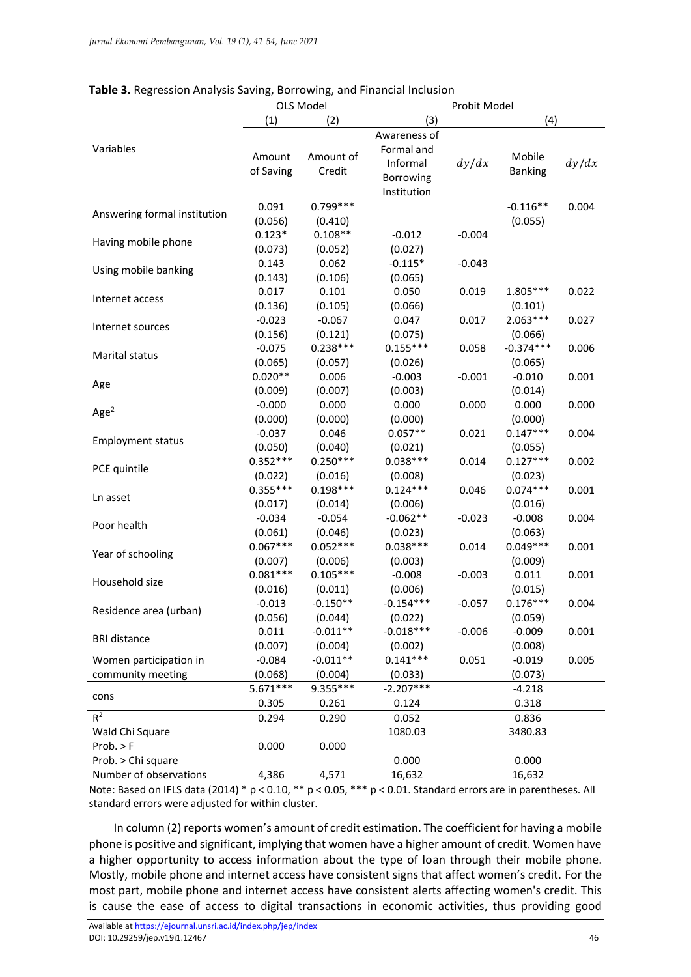|                              |            | <b>OLS Model</b>    |              | Probit Model |                |       |  |
|------------------------------|------------|---------------------|--------------|--------------|----------------|-------|--|
|                              | (1)        | (2)                 | (4)<br>(3)   |              |                |       |  |
|                              |            |                     | Awareness of |              |                |       |  |
| Variables                    |            |                     | Formal and   |              |                |       |  |
|                              | Amount     | Amount of           | Informal     | dy/dx        | Mobile         | dy/dx |  |
|                              | of Saving  | Credit              | Borrowing    |              | <b>Banking</b> |       |  |
|                              |            |                     | Institution  |              |                |       |  |
|                              | 0.091      | $0.799***$          |              |              | $-0.116**$     | 0.004 |  |
| Answering formal institution | (0.056)    | (0.410)             |              |              | (0.055)        |       |  |
|                              | $0.123*$   | $0.108**$           | $-0.012$     | $-0.004$     |                |       |  |
| Having mobile phone          | (0.073)    | (0.052)             | (0.027)      |              |                |       |  |
|                              | 0.143      | 0.062               | $-0.115*$    | $-0.043$     |                |       |  |
| Using mobile banking         |            |                     |              |              |                |       |  |
|                              | (0.143)    | (0.106)             | (0.065)      |              |                |       |  |
| Internet access              | 0.017      | 0.101               | 0.050        | 0.019        | 1.805***       | 0.022 |  |
|                              | (0.136)    | (0.105)             | (0.066)      |              | (0.101)        |       |  |
| Internet sources             | $-0.023$   | $-0.067$            | 0.047        | 0.017        | $2.063***$     | 0.027 |  |
|                              | (0.156)    | (0.121)             | (0.075)      |              | (0.066)        |       |  |
| Marital status               | $-0.075$   | $0.238***$          | $0.155***$   | 0.058        | $-0.374***$    | 0.006 |  |
|                              | (0.065)    | (0.057)             | (0.026)      |              | (0.065)        |       |  |
| Age                          | $0.020**$  | 0.006               | $-0.003$     | $-0.001$     | $-0.010$       | 0.001 |  |
|                              | (0.009)    | (0.007)             | (0.003)      |              | (0.014)        |       |  |
| Age <sup>2</sup>             | $-0.000$   | 0.000               | 0.000        | 0.000        | 0.000          | 0.000 |  |
|                              | (0.000)    | (0.000)             | (0.000)      |              | (0.000)        |       |  |
| <b>Employment status</b>     | $-0.037$   | 0.046               | $0.057**$    | 0.021        | $0.147***$     | 0.004 |  |
|                              | (0.050)    | (0.040)             | (0.021)      |              | (0.055)        |       |  |
|                              | $0.352***$ | $0.250***$          | $0.038***$   | 0.014        | $0.127***$     | 0.002 |  |
| PCE quintile                 | (0.022)    | (0.016)             | (0.008)      |              | (0.023)        |       |  |
|                              | $0.355***$ | $0.198***$          | $0.124***$   | 0.046        | $0.074***$     | 0.001 |  |
| Ln asset                     | (0.017)    | (0.014)             | (0.006)      |              | (0.016)        |       |  |
|                              | $-0.034$   | $-0.054$            | $-0.062**$   | $-0.023$     | $-0.008$       | 0.004 |  |
| Poor health                  | (0.061)    | (0.046)             | (0.023)      |              | (0.063)        |       |  |
| Year of schooling            | $0.067***$ | $0.052***$          | $0.038***$   | 0.014        | $0.049***$     | 0.001 |  |
|                              | (0.007)    | (0.006)             | (0.003)      |              | (0.009)        |       |  |
|                              | $0.081***$ | $0.105***$          | $-0.008$     | $-0.003$     | 0.011          | 0.001 |  |
| Household size               | (0.016)    | (0.011)             | (0.006)      |              | (0.015)        |       |  |
|                              | $-0.013$   | $-0.150**$          | $-0.154***$  | $-0.057$     | $0.176***$     | 0.004 |  |
| Residence area (urban)       | (0.056)    | (0.044)             | (0.022)      |              | (0.059)        |       |  |
|                              | 0.011      | $-0.011**$          | $-0.018***$  | $-0.006$     | $-0.009$       | 0.001 |  |
| <b>BRI</b> distance          | (0.007)    | (0.004)             | (0.002)      |              | (0.008)        |       |  |
| Women participation in       | $-0.084$   | $-0.011**$          | $0.141***$   | 0.051        | $-0.019$       | 0.005 |  |
|                              | (0.068)    |                     |              |              |                |       |  |
| community meeting            |            | (0.004)<br>9.355*** | (0.033)      |              | (0.073)        |       |  |
| cons                         | $5.671***$ |                     | $-2.207***$  |              | $-4.218$       |       |  |
|                              | 0.305      | 0.261               | 0.124        |              | 0.318          |       |  |
| $R^2$                        | 0.294      | 0.290               | 0.052        |              | 0.836          |       |  |
| Wald Chi Square              |            |                     | 1080.03      |              | 3480.83        |       |  |
| Prob. > F                    | 0.000      | 0.000               |              |              |                |       |  |
| Prob. > Chi square           |            |                     | 0.000        |              | 0.000          |       |  |
| Number of observations       | 4,386      | 4,571               | 16,632       |              | 16,632         |       |  |

# **Table 3.** Regression Analysis Saving, Borrowing, and Financial Inclusion

Note: Based on IFLS data (2014) \* p < 0.10, \*\* p < 0.05, \*\*\* p < 0.01. Standard errors are in parentheses. All standard errors were adjusted for within cluster.

In column (2) reports women's amount of credit estimation. The coefficient for having a mobile phone is positive and significant, implying that women have a higher amount of credit. Women have a higher opportunity to access information about the type of loan through their mobile phone. Mostly, mobile phone and internet access have consistent signs that affect women's credit. For the most part, mobile phone and internet access have consistent alerts affecting women's credit. This is cause the ease of access to digital transactions in economic activities, thus providing good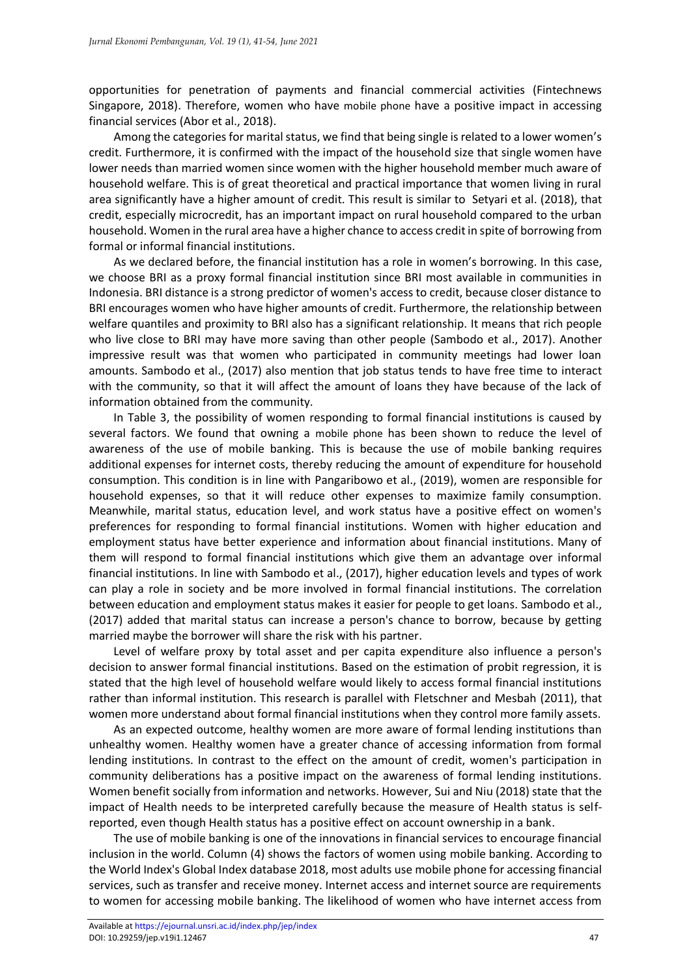opportunities for penetration of payments and financial commercial activities (Fintechnews Singapore, 2018). Therefore, women who have mobile phone have a positive impact in accessing financial services (Abor et al., 2018).

Among the categories for marital status, we find that being single is related to a lower women's credit. Furthermore, it is confirmed with the impact of the household size that single women have lower needs than married women since women with the higher household member much aware of household welfare. This is of great theoretical and practical importance that women living in rural area significantly have a higher amount of credit. This result is similar to Setyari et al. (2018), that credit, especially microcredit, has an important impact on rural household compared to the urban household. Women in the rural area have a higher chance to access credit in spite of borrowing from formal or informal financial institutions.

As we declared before, the financial institution has a role in women's borrowing. In this case, we choose BRI as a proxy formal financial institution since BRI most available in communities in Indonesia. BRI distance is a strong predictor of women's access to credit, because closer distance to BRI encourages women who have higher amounts of credit. Furthermore, the relationship between welfare quantiles and proximity to BRI also has a significant relationship. It means that rich people who live close to BRI may have more saving than other people (Sambodo et al., 2017). Another impressive result was that women who participated in community meetings had lower loan amounts. Sambodo et al., (2017) also mention that job status tends to have free time to interact with the community, so that it will affect the amount of loans they have because of the lack of information obtained from the community.

In Table 3, the possibility of women responding to formal financial institutions is caused by several factors. We found that owning a mobile phone has been shown to reduce the level of awareness of the use of mobile banking. This is because the use of mobile banking requires additional expenses for internet costs, thereby reducing the amount of expenditure for household consumption. This condition is in line with Pangaribowo et al., (2019), women are responsible for household expenses, so that it will reduce other expenses to maximize family consumption. Meanwhile, marital status, education level, and work status have a positive effect on women's preferences for responding to formal financial institutions. Women with higher education and employment status have better experience and information about financial institutions. Many of them will respond to formal financial institutions which give them an advantage over informal financial institutions. In line with Sambodo et al., (2017), higher education levels and types of work can play a role in society and be more involved in formal financial institutions. The correlation between education and employment status makes it easier for people to get loans. Sambodo et al., (2017) added that marital status can increase a person's chance to borrow, because by getting married maybe the borrower will share the risk with his partner.

Level of welfare proxy by total asset and per capita expenditure also influence a person's decision to answer formal financial institutions. Based on the estimation of probit regression, it is stated that the high level of household welfare would likely to access formal financial institutions rather than informal institution. This research is parallel with Fletschner and Mesbah (2011), that women more understand about formal financial institutions when they control more family assets.

As an expected outcome, healthy women are more aware of formal lending institutions than unhealthy women. Healthy women have a greater chance of accessing information from formal lending institutions. In contrast to the effect on the amount of credit, women's participation in community deliberations has a positive impact on the awareness of formal lending institutions. Women benefit socially from information and networks. However, Sui and Niu (2018) state that the impact of Health needs to be interpreted carefully because the measure of Health status is selfreported, even though Health status has a positive effect on account ownership in a bank.

The use of mobile banking is one of the innovations in financial services to encourage financial inclusion in the world. Column (4) shows the factors of women using mobile banking. According to the World Index's Global Index database 2018, most adults use mobile phone for accessing financial services, such as transfer and receive money. Internet access and internet source are requirements to women for accessing mobile banking. The likelihood of women who have internet access from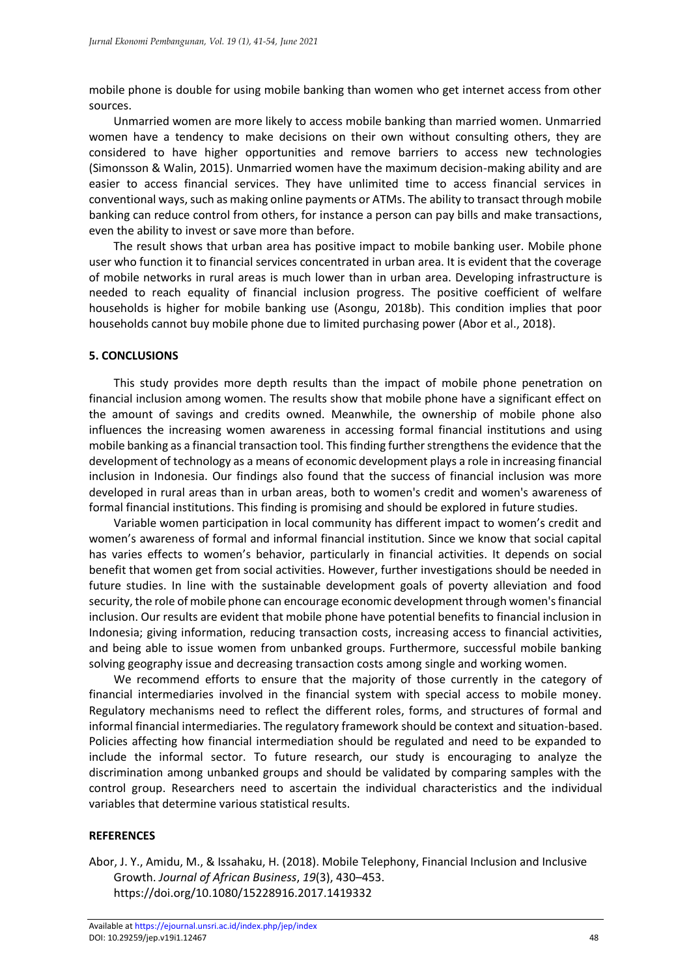mobile phone is double for using mobile banking than women who get internet access from other sources.

Unmarried women are more likely to access mobile banking than married women. Unmarried women have a tendency to make decisions on their own without consulting others, they are considered to have higher opportunities and remove barriers to access new technologies (Simonsson & Walin, 2015). Unmarried women have the maximum decision-making ability and are easier to access financial services. They have unlimited time to access financial services in conventional ways, such as making online payments or ATMs. The ability to transact through mobile banking can reduce control from others, for instance a person can pay bills and make transactions, even the ability to invest or save more than before.

The result shows that urban area has positive impact to mobile banking user. Mobile phone user who function it to financial services concentrated in urban area. It is evident that the coverage of mobile networks in rural areas is much lower than in urban area. Developing infrastructure is needed to reach equality of financial inclusion progress. The positive coefficient of welfare households is higher for mobile banking use (Asongu, 2018b). This condition implies that poor households cannot buy mobile phone due to limited purchasing power (Abor et al., 2018).

## **5. CONCLUSIONS**

This study provides more depth results than the impact of mobile phone penetration on financial inclusion among women. The results show that mobile phone have a significant effect on the amount of savings and credits owned. Meanwhile, the ownership of mobile phone also influences the increasing women awareness in accessing formal financial institutions and using mobile banking as a financial transaction tool. This finding further strengthens the evidence that the development of technology as a means of economic development plays a role in increasing financial inclusion in Indonesia. Our findings also found that the success of financial inclusion was more developed in rural areas than in urban areas, both to women's credit and women's awareness of formal financial institutions. This finding is promising and should be explored in future studies.

Variable women participation in local community has different impact to women's credit and women's awareness of formal and informal financial institution. Since we know that social capital has varies effects to women's behavior, particularly in financial activities. It depends on social benefit that women get from social activities. However, further investigations should be needed in future studies. In line with the sustainable development goals of poverty alleviation and food security, the role of mobile phone can encourage economic development through women's financial inclusion. Our results are evident that mobile phone have potential benefits to financial inclusion in Indonesia; giving information, reducing transaction costs, increasing access to financial activities, and being able to issue women from unbanked groups. Furthermore, successful mobile banking solving geography issue and decreasing transaction costs among single and working women.

We recommend efforts to ensure that the majority of those currently in the category of financial intermediaries involved in the financial system with special access to mobile money. Regulatory mechanisms need to reflect the different roles, forms, and structures of formal and informal financial intermediaries. The regulatory framework should be context and situation-based. Policies affecting how financial intermediation should be regulated and need to be expanded to include the informal sector. To future research, our study is encouraging to analyze the discrimination among unbanked groups and should be validated by comparing samples with the control group. Researchers need to ascertain the individual characteristics and the individual variables that determine various statistical results.

## **REFERENCES**

Abor, J. Y., Amidu, M., & Issahaku, H. (2018). Mobile Telephony, Financial Inclusion and Inclusive Growth. *Journal of African Business*, *19*(3), 430–453. https://doi.org/10.1080/15228916.2017.1419332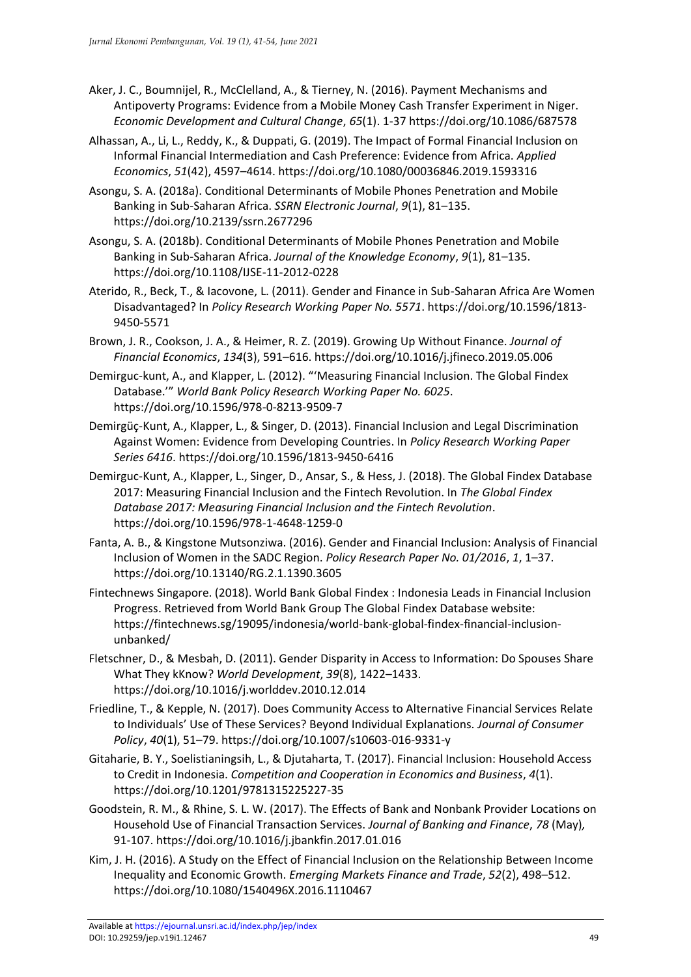- Aker, J. C., Boumnijel, R., McClelland, A., & Tierney, N. (2016). Payment Mechanisms and Antipoverty Programs: Evidence from a Mobile Money Cash Transfer Experiment in Niger. *Economic Development and Cultural Change*, *65*(1). 1-37 https://doi.org/10.1086/687578
- Alhassan, A., Li, L., Reddy, K., & Duppati, G. (2019). The Impact of Formal Financial Inclusion on Informal Financial Intermediation and Cash Preference: Evidence from Africa. *Applied Economics*, *51*(42), 4597–4614. https://doi.org/10.1080/00036846.2019.1593316
- Asongu, S. A. (2018a). Conditional Determinants of Mobile Phones Penetration and Mobile Banking in Sub-Saharan Africa. *SSRN Electronic Journal*, *9*(1), 81–135. https://doi.org/10.2139/ssrn.2677296
- Asongu, S. A. (2018b). Conditional Determinants of Mobile Phones Penetration and Mobile Banking in Sub-Saharan Africa. *Journal of the Knowledge Economy*, *9*(1), 81–135. https://doi.org/10.1108/IJSE-11-2012-0228
- Aterido, R., Beck, T., & Iacovone, L. (2011). Gender and Finance in Sub-Saharan Africa Are Women Disadvantaged? In *Policy Research Working Paper No. 5571*. https://doi.org/10.1596/1813- 9450-5571
- Brown, J. R., Cookson, J. A., & Heimer, R. Z. (2019). Growing Up Without Finance. *Journal of Financial Economics*, *134*(3), 591–616. https://doi.org/10.1016/j.jfineco.2019.05.006
- Demirguc-kunt, A., and Klapper, L. (2012). "'Measuring Financial Inclusion. The Global Findex Database.'" *World Bank Policy Research Working Paper No. 6025*. https://doi.org/10.1596/978-0-8213-9509-7
- Demirgüç-Kunt, A., Klapper, L., & Singer, D. (2013). Financial Inclusion and Legal Discrimination Against Women: Evidence from Developing Countries. In *Policy Research Working Paper Series 6416*. https://doi.org/10.1596/1813-9450-6416
- Demirguc-Kunt, A., Klapper, L., Singer, D., Ansar, S., & Hess, J. (2018). The Global Findex Database 2017: Measuring Financial Inclusion and the Fintech Revolution. In *The Global Findex Database 2017: Measuring Financial Inclusion and the Fintech Revolution*. https://doi.org/10.1596/978-1-4648-1259-0
- Fanta, A. B., & Kingstone Mutsonziwa. (2016). Gender and Financial Inclusion: Analysis of Financial Inclusion of Women in the SADC Region. *Policy Research Paper No. 01/2016*, *1*, 1–37. https://doi.org/10.13140/RG.2.1.1390.3605
- Fintechnews Singapore. (2018). World Bank Global Findex : Indonesia Leads in Financial Inclusion Progress. Retrieved from World Bank Group The Global Findex Database website: https://fintechnews.sg/19095/indonesia/world-bank-global-findex-financial-inclusionunbanked/
- Fletschner, D., & Mesbah, D. (2011). Gender Disparity in Access to Information: Do Spouses Share What They kKnow? *World Development*, *39*(8), 1422–1433. https://doi.org/10.1016/j.worlddev.2010.12.014
- Friedline, T., & Kepple, N. (2017). Does Community Access to Alternative Financial Services Relate to Individuals' Use of These Services? Beyond Individual Explanations. *Journal of Consumer Policy*, *40*(1), 51–79. https://doi.org/10.1007/s10603-016-9331-y
- Gitaharie, B. Y., Soelistianingsih, L., & Djutaharta, T. (2017). Financial Inclusion: Household Access to Credit in Indonesia. *Competition and Cooperation in Economics and Business*, *4*(1). https://doi.org/10.1201/9781315225227-35
- Goodstein, R. M., & Rhine, S. L. W. (2017). The Effects of Bank and Nonbank Provider Locations on Household Use of Financial Transaction Services. *Journal of Banking and Finance*, *78* (May)*,*  91-107. https://doi.org/10.1016/j.jbankfin.2017.01.016
- Kim, J. H. (2016). A Study on the Effect of Financial Inclusion on the Relationship Between Income Inequality and Economic Growth. *Emerging Markets Finance and Trade*, *52*(2), 498–512. https://doi.org/10.1080/1540496X.2016.1110467